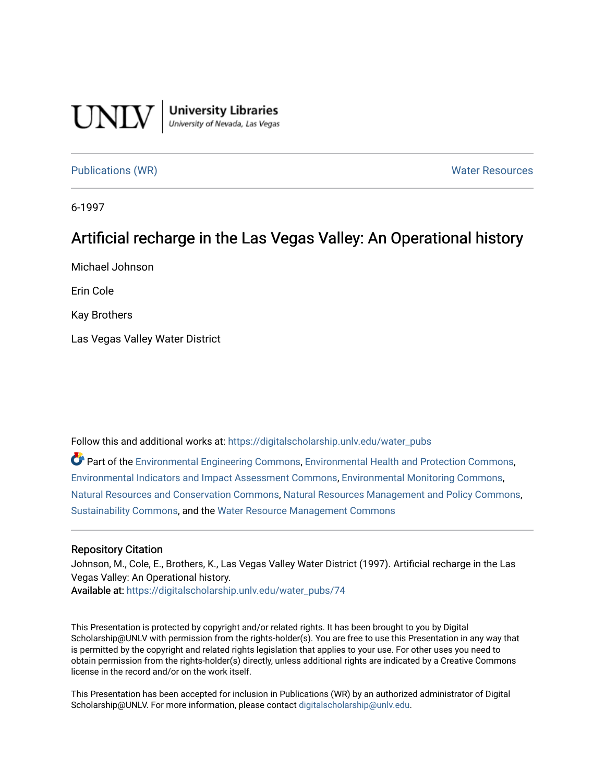

**University Libraries**<br>University of Nevada, Las Vegas

[Publications \(WR\)](https://digitalscholarship.unlv.edu/water_pubs) Notifiable Resources and Mater Resources and Mater Resources

6-1997

# Artificial recharge in the Las V egas Valley: An Oper ational history

Michael Johnson

Erin Cole

Kay Brothers

Las Vegas Valley Water District

Follow this and additional works at: [https://digitalscholarship.unlv.edu/water\\_pubs](https://digitalscholarship.unlv.edu/water_pubs?utm_source=digitalscholarship.unlv.edu%2Fwater_pubs%2F74&utm_medium=PDF&utm_campaign=PDFCoverPages) 

Part of the [Environmental Engineering Commons](http://network.bepress.com/hgg/discipline/254?utm_source=digitalscholarship.unlv.edu%2Fwater_pubs%2F74&utm_medium=PDF&utm_campaign=PDFCoverPages), [Environmental Health and Protection Commons](http://network.bepress.com/hgg/discipline/172?utm_source=digitalscholarship.unlv.edu%2Fwater_pubs%2F74&utm_medium=PDF&utm_campaign=PDFCoverPages), [Environmental Indicators and Impact Assessment Commons,](http://network.bepress.com/hgg/discipline/1015?utm_source=digitalscholarship.unlv.edu%2Fwater_pubs%2F74&utm_medium=PDF&utm_campaign=PDFCoverPages) [Environmental Monitoring Commons,](http://network.bepress.com/hgg/discipline/931?utm_source=digitalscholarship.unlv.edu%2Fwater_pubs%2F74&utm_medium=PDF&utm_campaign=PDFCoverPages) [Natural Resources and Conservation Commons,](http://network.bepress.com/hgg/discipline/168?utm_source=digitalscholarship.unlv.edu%2Fwater_pubs%2F74&utm_medium=PDF&utm_campaign=PDFCoverPages) [Natural Resources Management and Policy Commons,](http://network.bepress.com/hgg/discipline/170?utm_source=digitalscholarship.unlv.edu%2Fwater_pubs%2F74&utm_medium=PDF&utm_campaign=PDFCoverPages) [Sustainability Commons](http://network.bepress.com/hgg/discipline/1031?utm_source=digitalscholarship.unlv.edu%2Fwater_pubs%2F74&utm_medium=PDF&utm_campaign=PDFCoverPages), and the [Water Resource Management Commons](http://network.bepress.com/hgg/discipline/1057?utm_source=digitalscholarship.unlv.edu%2Fwater_pubs%2F74&utm_medium=PDF&utm_campaign=PDFCoverPages)

### Repository Citation

Johnson, M., Cole, E., Brothers, K., Las Vegas Valley Water District (1997). Artificial recharge in the Las Vegas Valley: An Operational history. Available at: [https://digitalscholarship.unlv.edu/water\\_pubs/74](https://digitalscholarship.unlv.edu/water_pubs/74) 

This Presentation is protected by copyright and/or related rights. It has been brought to you by Digital Scholarship@UNLV with permission from the rights-holder(s). You are free to use this Presentation in any way that is permitted by the copyright and related rights legislation that applies to your use. For other uses you need to obtain permission from the rights-holder(s) directly, unless additional rights are indicated by a Creative Commons license in the record and/or on the work itself.

This Presentation has been accepted for inclusion in Publications (WR) by an authorized administrator of Digital Scholarship@UNLV. For more information, please contact [digitalscholarship@unlv.edu.](mailto:digitalscholarship@unlv.edu)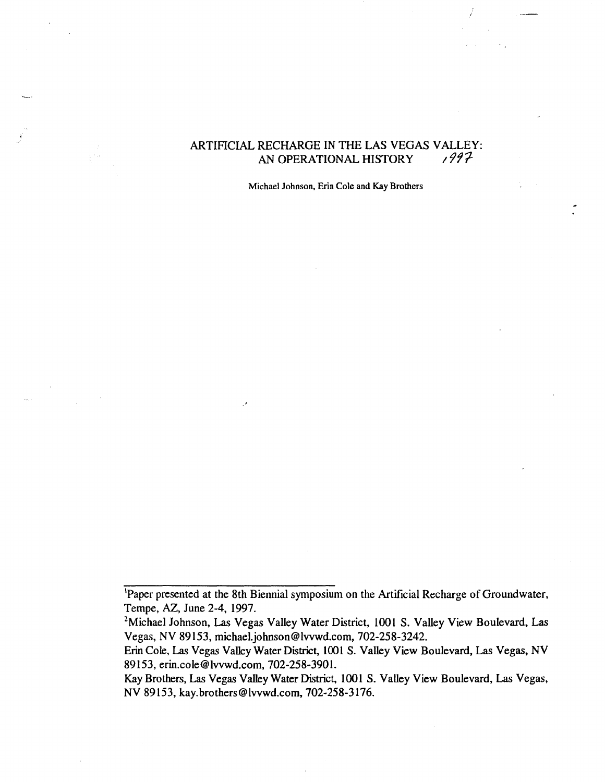# ARTIFICIAL RECHARGE IN THE LAS VEGAS VALLEY: AN OPERATIONAL HISTORY  $/997$

Michael Johnson, Erin Cole and Kay Brothers

<sup>&#</sup>x27;Paper presented at the 8th Biennial symposium on the Artificial Recharge of Ground water, Tempe, AZ, June 2-4, 1997.

<sup>&</sup>lt;sup>2</sup>Michael Johnson, Las Vegas Valley Water District, 1001 S. Valley View Boulevard, Las Vegas, NV 89153, michael.johnson@lwwd.com, 702-258-3242.

Erin Cole, Las Vegas Valley Water District, 1001 S. Valley View Boulevard, Las Vegas, NV 89153, erin.cole@lvvwd.com, 702-258-3901.

Kay Brothers, Las Vegas Valley Water District, 1001 S. Valley View Boulevard, Las Vegas, NV 89153, kay.brothers@lvvwd.com, 702-258-3176.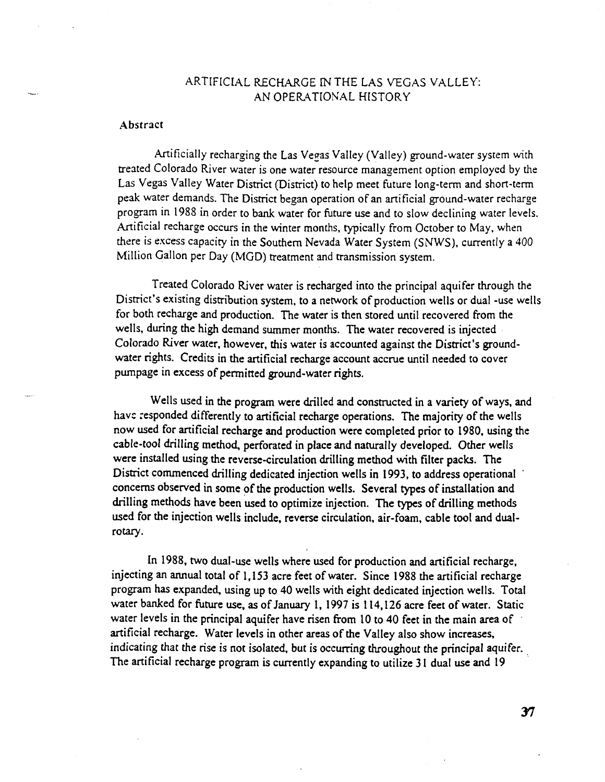## ARTIFICIAL RECHARGE IN THE LAS VEGAS VALLEY: AN OPERATIONAL HISTORY

#### Abstract

Artificially recharging the Las Vegas Valley (Valley) ground-water system with treated Colorado River water is one water resource management option employed by the Las Vegas Valley Water District (District) to help meet future long-term and short-term peak water demands. The District began operation of an artificial ground-water recharge program in 1988 in order to bank water for future use and to slow declining water levels. Artificial recharge occurs in the winter months, typically from October to May, when there is excess capacity in the Southern Nevada Water System (SNWS), currently a 400 Million Gallon per Day (MGD) treatment and transmission system.

Treated Colorado River water is recharged into the principal aquifer through the District's existing distribution system, to a network of production wells or dual -use wells for both recharge and production. The water is then stored until recovered from the wells, during the high demand summer months. The water recovered is injected Colorado River water, however, this water is accounted against the District's ground water rights. Credits in the artificial recharge account accrue until needed to cover pumpage in excess of permitted ground-water rights.

Wells used in the program were drilled and constructed in a variety of ways, and have responded differently to artificial recharge operations. The majority of the wells now used for artificial recharge and production were completed prior to 1980, using the cable-tool drilling method, perforated in place and naturally developed. Other wells were installed using the reverse-circulation drilling method with filter packs. The District commenced drilling dedicated injection wells in 1993, to address operational concerns observed in some of the production wells. Several types of installation and drilling methods have been used to optimize injection. The types of drilling methods used for the injection wells include, reverse circulation, air-foam, cable tool and dual rotary.

In 1988, two dual-use wells where used for production and artificial recharge, injecting an annual total of 1,153 acre feet of water. Since 1988 the artificial recharge program has expanded, using up to 40 wells with eight dedicated injection wells. Total water banked for future use, as of January 1, 1997 is 114,126 acre feet of water. Static water levels in the principal aquifer have risen from 10 to 40 feet in the main area of artificial recharge. Water levels in other areas of the Valley also show increases, indicating that the rise is not isolated, but is occurring throughout the principal aquifer. The artificial recharge program is currently expanding to utilize 31 dual use and 19

37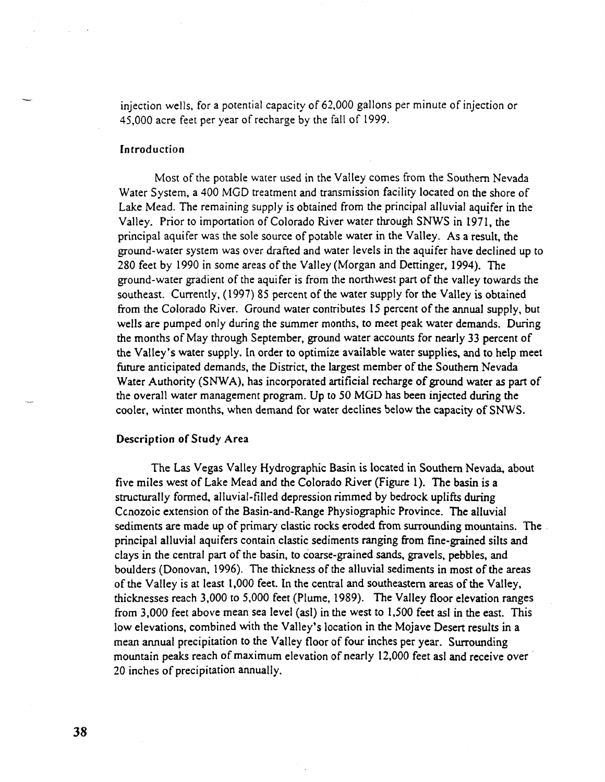injection wells, for a potential capacity of 62,000 gallons per minute of injection or 45,000 acre feet per year of recharge by the fall of 1999.

#### Introduction

Most of the potable water used in the Valley comes from the Southern Nevada Water System, a 400 MGD treatment and transmission facility located on the shore of Lake Mead. The remaining supply is obtained from the principal alluvial aquifer in the Valley. Prior to importation of Colorado River water through SNWS in 1971, the principal aquifer was the sole source of potable water in the Valley. As a result, the ground-water system was over drafted and water levels in the aquifer have declined up to 280 feet by 1990 in some areas of the Valley (Morgan and Dettinger, 1994). The ground-water gradient of the aquifer is from the northwest part of the valley towards the southeast. Currently, (1997) 85 percent of the water supply for the Valley is obtained from the Colorado River. Ground water contributes 15 percent of the annual supply, but wells are pumped only during the summer months, to meet peak water demands. During the months of May through September, ground water accounts for nearly 33 percent of the Valley's water supply. In order to optimize available water supplies, and to help meet future anticipated demands, the District, the largest member of the Southern Nevada Water Authority (SNWA), has incorporated artificial recharge of ground water as part of the overall water management program. Up to 50 MGD has been injected during the cooler, winter months, when demand for water declines below the capacity of SNWS.

## Description of Study Area

The Las Vegas Valley Hydrographic Basin is located in Southern Nevada, about five miles west of Lake Mead and the Colorado River (Figure 1). The basin is a structurally formed, alluvial-filled depression rimmed by bedrock uplifts during Ccnozoic extension of the Basin-and-Range Physiographic Province. The alluvial sediments are made up of primary clastic rocks eroded from surrounding mountains. The principal alluvial aquifers contain clastic sediments ranging from fine-grained silts and clays in the central part of the basin, to coarse-grained sands, gravels, pebbles, and boulders (Donovan, 1996). The thickness of the alluvial sediments in most of the areas of the Valley is at least 1,000 feet. In the central and southeastern areas of the Valley, thicknesses reach 3,000 to 5,000 feet (Plume, 1989). The Valley floor elevation ranges from 3,000 feet above mean sea level (asl) in the west to 1,500 feet asl in the east. This low elevations, combined with the Valley's location in the Mojave Desert results in a mean annual precipitation to the Valley floor of four inches per year. Surrounding mountain peaks reach of maximum elevation of nearly 12,000 feet asl and receive over 20 inches of precipitation annually.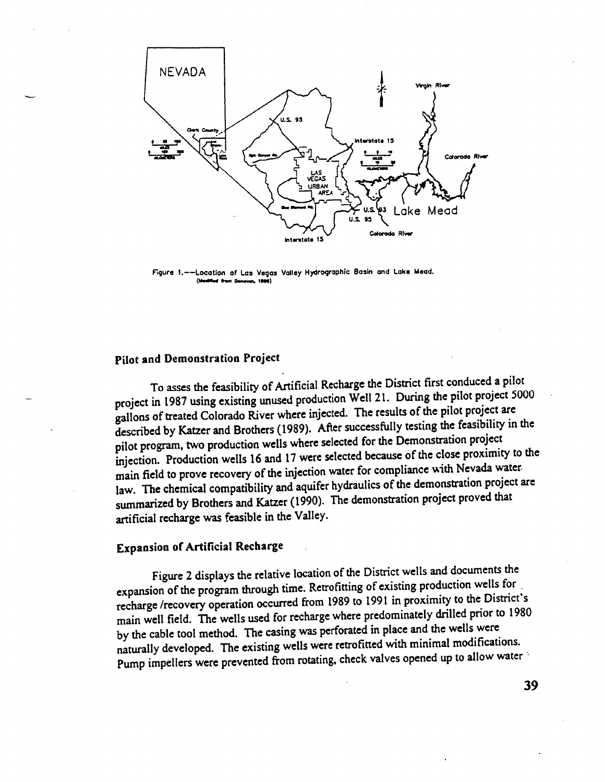

**Figure 1.—Location of Los Vogas Vollay Hydrogrophic Basin and laka Maad.** (Meditian de m De

## **Pilot and Demonstration Project**

To asses the feasibility of Artificial Recharge the District first conduced a pilot project in 1987 using existing unused production Well 21. During the pilot project 5000 gallons of treated Colorado River where injected. The results of the pilot project are described by Katzer and Brothers (1989). After successfully testing the feasibility in the pilot program, two production wells where selected for the Demonstration project injection. Production wells 16 and 17 were selected because of the close proximity to the main field to prove recovery of the injection water for compliance with Nevada water law. The chemical compatibility and aquifer hydraulics of the demonstration project are summarized by Brothers and Katzer (1990). The demonstration project proved that artificial recharge was feasible in the Valley.

## **Expansion of Artificial Recharge**

Figure 2 displays the relative location of the District wells and documents the expansion of the program through time. Retrofitting of existing production wells for . recharge /recovery operation occurred from 1989 to 1991 in proximity to the District's main well field. The wells used for recharge where predominately drilled prior to 1980 by the cable tool method. The casing was perforated in place and the wells were naturally developed. The existing wells were retrofitted with minimal modifications. Pump impellers were prevented from rotating, check valves opened up to allow water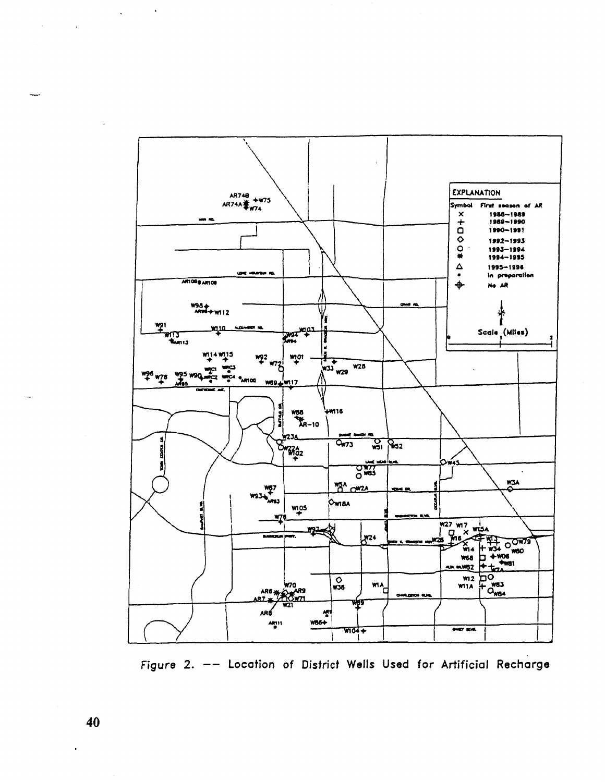

Figure 2. -- Location of District Wells Used for Artificial Recharge

 $\sim$   $\sim$ 

 $\ddot{\phantom{a}}$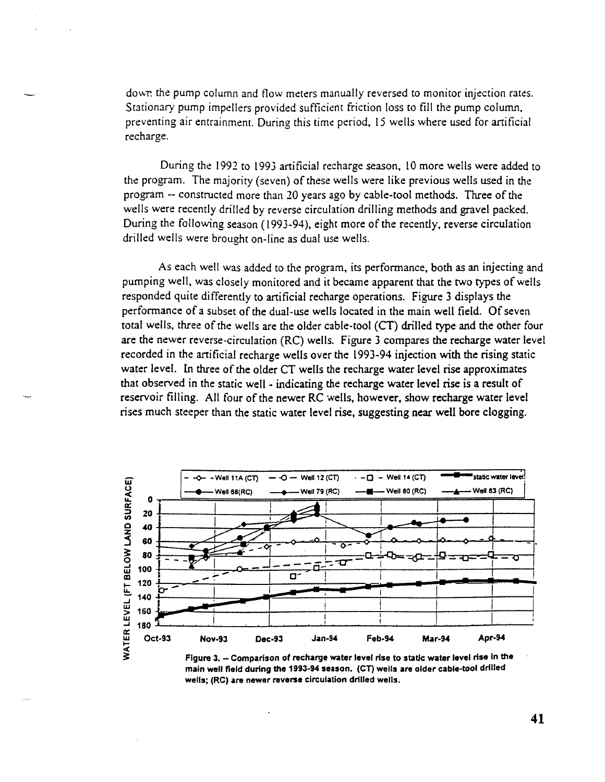down the pump column and flow meters manually reversed to monitor injection rates. Stationary pump impellers provided sufficient friction loss to fill the pump column, preventing air entrainment. During this time period, 15 wells where used for artificial recharge.

During the 1992 to 1993 artificial recharge season, 10 more wells were added to the program. The majority (seven) of these wells were like previous wells used in the program -- constructed more than 20 years ago by cable-tool methods. Three of the wells were recently drilled by reverse circulation drilling methods and gravel packed. During the following season (1993-94), eight more of the recently, reverse circulation drilled wells were brought on-line as dual use wells.

As each well was added to the program, its performance, both as an injecting and pumping well, was closely monitored and it became apparent that the two types of wells responded quite differently to artificial recharge operations. Figure 3 displays the performance of a subset of the dual-use wells located in the main well field. Of seven total wells, three of the wells are the older cable-tool (CT) drilled type and the other four are the newer reverse-circulation (RC) wells. Figure 3 compares the recharge water level recorded in the artificial recharge wells over the 1993-94 injection with the rising static water level. In three of the older CT wells the recharge water level rise approximates that observed in the static well - indicating the recharge water level rise is a result of reservoir filling. All four of the newer RC wells, however, show recharge water level rises much steeper than the static water level rise, suggesting near well bore clogging.



**Figure 3. - Comparison of recharge water level rise to static water level rise in the main well field during the 1993-94 season. (CT) wells are older cable-tool drilled wells; (RC) are newer reverse circulation drilled wells.**

**41**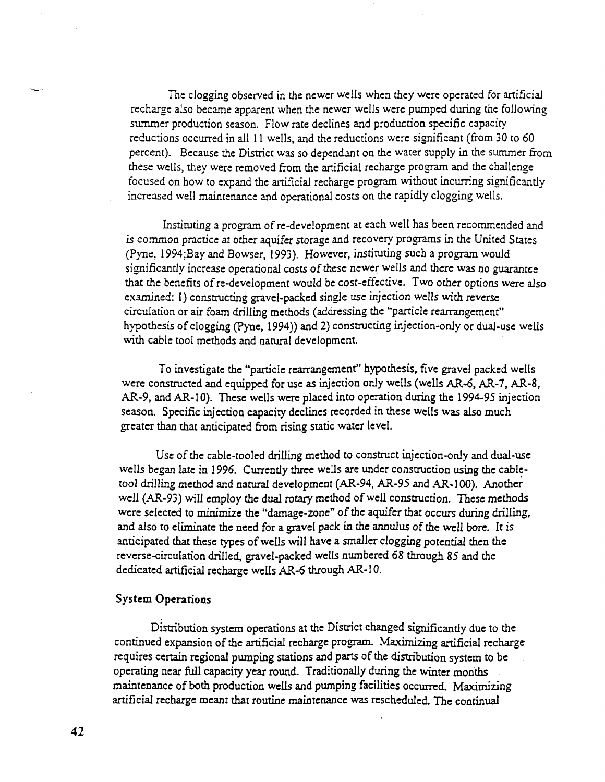The clogging observed in the newer wells when they were operated for artificial recharge also became apparent when the newer wells were pumped during the following summer production season. Flow rate declines and production specific capacity reductions occurred in all 11 wells, and the reductions were significant (from 30 to 60 percent). Because the District was so dependant on the water supply in the summer from these wells, they were removed from the artificial recharge program and the challenge focused on how to expand the artificial recharge program without incurring significantly increased well maintenance and operational costs on the rapidly clogging wells.

Instituting a program of re-development at each well has been recommended and is common practice at other aquifer storage and recovery programs in the United States (Pyne, 1994;Bay and Bowser, 1993). However, instituting such a program would significantly increase operational costs of these newer wells and there was no guarantee that the benefits of re-development would be cost-effective. Two other options were also examined: 1) constructing gravel-packed single use injection wells with reverse circulation or air foam drilling methods (addressing the "particle rearrangement" hypothesis of clogging (Pync, 1994)) and 2) constructing injection-only or dual-use wells with cable tool methods and natural development.

To investigate the "particle rearrangement" hypothesis, five gravel packed wells were constructed and equipped for use as injection only wells (wells AR-6, AR-7, AR-8, AR-9, and AR-10). These wells were placed into operation during the 1994-95 injection season. Specific injection capacity declines recorded in these wells was also much greater than that anticipated from rising static water level.

Use of the cable-tooled drilling method to construct injection-only and dual-use wells began late in 1996. Currently three wells are under construction using the cable tool drilling method and natural development (AR-94, AR-95 and AR-100). Another well (AR-93) will employ the dual rotary method of well construction. These methods were selected to minimize the "damage-zone" of the aquifer that occurs during drilling, and also to eliminate the need for a gravel pack in the annulus of the well bore. It is anticipated that these types of wells will have a smaller clogging potential then the reverse-circulation drilled, gravel-packed wells numbered 68 through 85 and the dedicated artificial recharge wells AR-6 through AR-10.

## **System Operations**

Distribution system operations at the District changed significantly due to the continued expansion of the artificial recharge program. Maximizing artificial recharge requires certain regional pumping stations and parts of the distribution system to be operating near full capacity year round. Traditionally during the winter months maintenance of both production wells and pumping facilities occurred. Maximizing artificial recharge meant that routine maintenance was rescheduled. The continual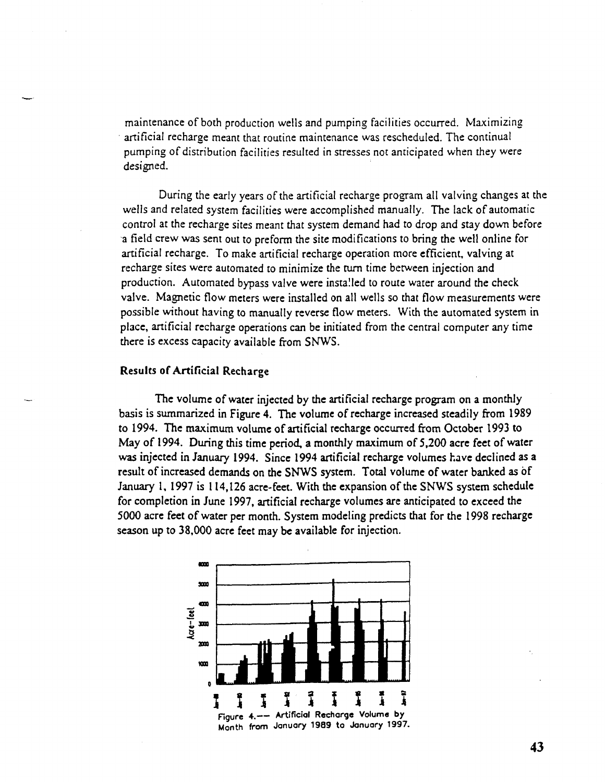maintenance of both production wells and pumping facilities occurred. Maximizing artificial recharge meant that routine maintenance was rescheduled. The continual pumping of distribution facilities resulted in stresses not anticipated when they were designed.

During the early years of the artificial recharge program all valving changes at the wells and related system facilities were accomplished manually. The lack of automatic control at the recharge sites meant that system demand had to drop and stay down before a field crew was sent out to preform the site modifications to bring the well online for artificial recharge. To make artificial recharge operation more efficient, valving at recharge sites were automated to minimize the turn time between injection and production. Automated bypass valve were installed to route water around the check valve. Magnetic flow meters were installed on all wells so that flow measurements were possible without having to manually reverse flow meters. With the automated system in place, artificial recharge operations can be initiated from the central computer any time there is excess capacity available from SNWS.

#### **Results of Artificial Recharge**

The volume of water injected by the artificial recharge program on a monthly basis is summarized in Figure 4. The volume of recharge increased steadily from 1989 to 1994. The maximum volume of artificial recharge occurred from October 1993 to May of 1994. During this time period, a monthly maximum of 5,200 acre feet of water was injected in January 1994. Since 1994 artificial recharge volumes have declined as a result of increased demands on the SNWS system. Total volume of water banked as of January 1, 1997 is 114,126 acre-feet. With the expansion of the SNWS system schedule for completion in June 1997, artificial recharge volumes are anticipated to exceed the 5000 acre feet of water per month. System modeling predicts that for the 1998 recharge season up to 38,000 acre feet may be available for injection.

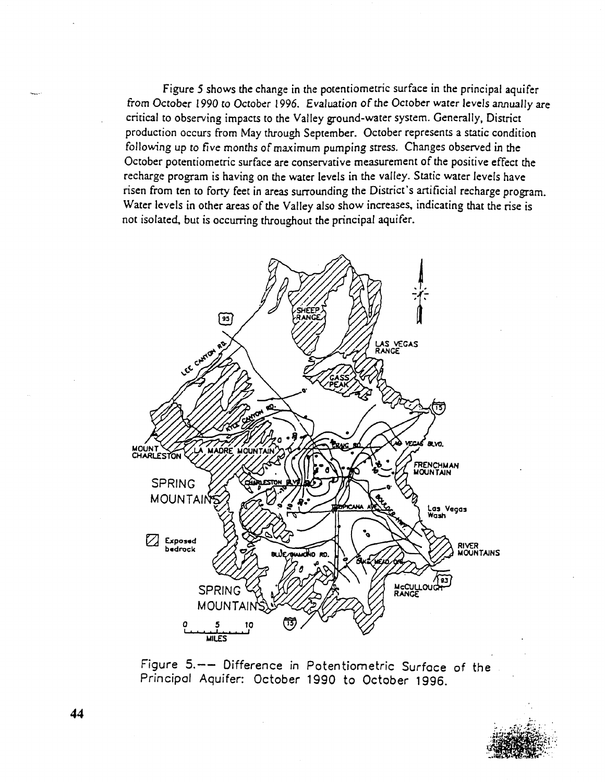Figure 5 shows the change in the potentiometric surface in the principal aquifer from October 1990 to October 1996. Evaluation of the October water levels annually are critical to observing impacts to the Valley ground-water system. Generally, District production occurs from May through September. October represents a static condition following up to five months of maximum pumping stress. Changes observed in the October potentiometric surface are conservative measurement of the positive effect the recharge program is having on the water levels in the valley. Static water levels have risen from ten to forty feet in areas surrounding the District's artificial recharge program. Water levels in other areas of the Valley also show increases, indicating that the rise is not isolated, but is occurring throughout the principal aquifer.



Figure 5.— Difference in Potentiometric Surface of the Principal Aquifer: October 1990 to October 1996.



**44**